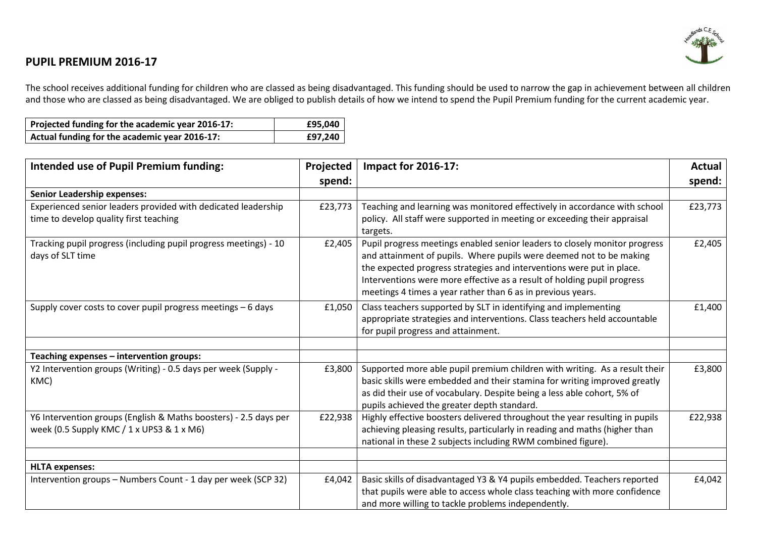

## **PUPIL PREMIUM 2016-17**

The school receives additional funding for children who are classed as being disadvantaged. This funding should be used to narrow the gap in achievement between all children and those who are classed as being disadvantaged. We are obliged to publish details of how we intend to spend the Pupil Premium funding for the current academic year.

| Projected funding for the academic year 2016-17: | £95,040 |
|--------------------------------------------------|---------|
| Actual funding for the academic year 2016-17:    | £97,240 |

| <b>Intended use of Pupil Premium funding:</b>                                                                               | Projected | <b>Impact for 2016-17:</b>                                                                                                                                                                                                                                                                                                                                           | Actual  |
|-----------------------------------------------------------------------------------------------------------------------------|-----------|----------------------------------------------------------------------------------------------------------------------------------------------------------------------------------------------------------------------------------------------------------------------------------------------------------------------------------------------------------------------|---------|
|                                                                                                                             | spend:    |                                                                                                                                                                                                                                                                                                                                                                      | spend:  |
| <b>Senior Leadership expenses:</b>                                                                                          |           |                                                                                                                                                                                                                                                                                                                                                                      |         |
| Experienced senior leaders provided with dedicated leadership<br>time to develop quality first teaching                     | £23,773   | Teaching and learning was monitored effectively in accordance with school<br>policy. All staff were supported in meeting or exceeding their appraisal<br>targets.                                                                                                                                                                                                    | £23,773 |
| Tracking pupil progress (including pupil progress meetings) - 10<br>days of SLT time                                        | £2,405    | Pupil progress meetings enabled senior leaders to closely monitor progress<br>and attainment of pupils. Where pupils were deemed not to be making<br>the expected progress strategies and interventions were put in place.<br>Interventions were more effective as a result of holding pupil progress<br>meetings 4 times a year rather than 6 as in previous years. | £2,405  |
| Supply cover costs to cover pupil progress meetings - 6 days                                                                | £1,050    | Class teachers supported by SLT in identifying and implementing<br>appropriate strategies and interventions. Class teachers held accountable<br>for pupil progress and attainment.                                                                                                                                                                                   | £1,400  |
| Teaching expenses - intervention groups:                                                                                    |           |                                                                                                                                                                                                                                                                                                                                                                      |         |
| Y2 Intervention groups (Writing) - 0.5 days per week (Supply -<br>KMC)                                                      | £3,800    | Supported more able pupil premium children with writing. As a result their<br>basic skills were embedded and their stamina for writing improved greatly<br>as did their use of vocabulary. Despite being a less able cohort, 5% of<br>pupils achieved the greater depth standard.                                                                                    | £3,800  |
| Y6 Intervention groups (English & Maths boosters) - 2.5 days per<br>week (0.5 Supply KMC / $1 \times$ UPS3 & $1 \times$ M6) | £22,938   | Highly effective boosters delivered throughout the year resulting in pupils<br>achieving pleasing results, particularly in reading and maths (higher than<br>national in these 2 subjects including RWM combined figure).                                                                                                                                            | £22,938 |
| <b>HLTA expenses:</b>                                                                                                       |           |                                                                                                                                                                                                                                                                                                                                                                      |         |
| Intervention groups - Numbers Count - 1 day per week (SCP 32)                                                               | £4,042    | Basic skills of disadvantaged Y3 & Y4 pupils embedded. Teachers reported<br>that pupils were able to access whole class teaching with more confidence<br>and more willing to tackle problems independently.                                                                                                                                                          | £4,042  |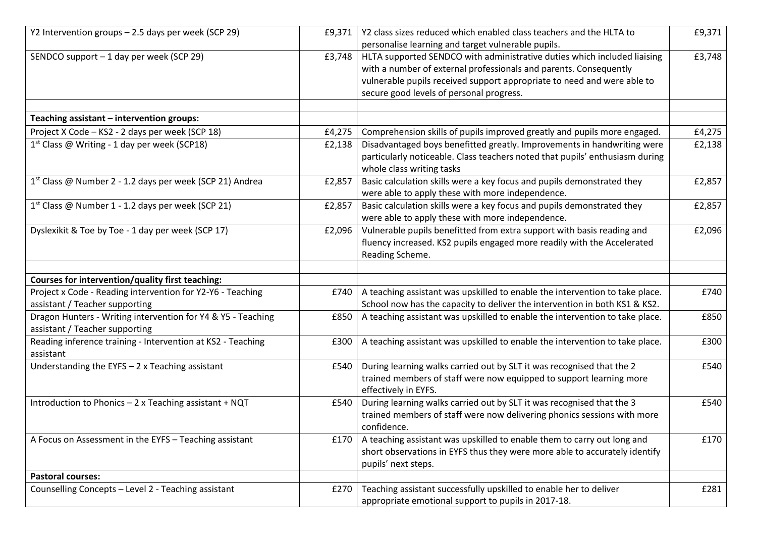| Y2 Intervention groups - 2.5 days per week (SCP 29)                                            | £9,371 | Y2 class sizes reduced which enabled class teachers and the HLTA to<br>personalise learning and target vulnerable pupils.                                                                                                                                            | £9,371 |
|------------------------------------------------------------------------------------------------|--------|----------------------------------------------------------------------------------------------------------------------------------------------------------------------------------------------------------------------------------------------------------------------|--------|
| SENDCO support - 1 day per week (SCP 29)                                                       | £3,748 | HLTA supported SENDCO with administrative duties which included liaising<br>with a number of external professionals and parents. Consequently<br>vulnerable pupils received support appropriate to need and were able to<br>secure good levels of personal progress. | £3,748 |
| Teaching assistant - intervention groups:                                                      |        |                                                                                                                                                                                                                                                                      |        |
| Project X Code - KS2 - 2 days per week (SCP 18)                                                | £4,275 | Comprehension skills of pupils improved greatly and pupils more engaged.                                                                                                                                                                                             | £4,275 |
| 1 <sup>st</sup> Class @ Writing - 1 day per week (SCP18)                                       | £2,138 | Disadvantaged boys benefitted greatly. Improvements in handwriting were<br>particularly noticeable. Class teachers noted that pupils' enthusiasm during<br>whole class writing tasks                                                                                 | £2,138 |
| 1 <sup>st</sup> Class @ Number 2 - 1.2 days per week (SCP 21) Andrea                           | £2,857 | Basic calculation skills were a key focus and pupils demonstrated they<br>were able to apply these with more independence.                                                                                                                                           | £2,857 |
| 1 <sup>st</sup> Class @ Number 1 - 1.2 days per week (SCP 21)                                  | £2,857 | Basic calculation skills were a key focus and pupils demonstrated they<br>were able to apply these with more independence.                                                                                                                                           | £2,857 |
| Dyslexikit & Toe by Toe - 1 day per week (SCP 17)                                              | £2,096 | Vulnerable pupils benefitted from extra support with basis reading and<br>fluency increased. KS2 pupils engaged more readily with the Accelerated<br>Reading Scheme.                                                                                                 | £2,096 |
|                                                                                                |        |                                                                                                                                                                                                                                                                      |        |
| Courses for intervention/quality first teaching:                                               |        |                                                                                                                                                                                                                                                                      |        |
| Project x Code - Reading intervention for Y2-Y6 - Teaching                                     | £740   | A teaching assistant was upskilled to enable the intervention to take place.                                                                                                                                                                                         | £740   |
| assistant / Teacher supporting                                                                 |        | School now has the capacity to deliver the intervention in both KS1 & KS2.                                                                                                                                                                                           |        |
| Dragon Hunters - Writing intervention for Y4 & Y5 - Teaching<br>assistant / Teacher supporting | £850   | A teaching assistant was upskilled to enable the intervention to take place.                                                                                                                                                                                         | £850   |
| Reading inference training - Intervention at KS2 - Teaching<br>assistant                       | £300   | A teaching assistant was upskilled to enable the intervention to take place.                                                                                                                                                                                         | £300   |
| Understanding the EYFS $-$ 2 x Teaching assistant                                              | £540   | During learning walks carried out by SLT it was recognised that the 2<br>trained members of staff were now equipped to support learning more<br>effectively in EYFS.                                                                                                 | £540   |
| Introduction to Phonics - 2 x Teaching assistant + NQT                                         | £540   | During learning walks carried out by SLT it was recognised that the 3<br>trained members of staff were now delivering phonics sessions with more<br>confidence.                                                                                                      | £540   |
| A Focus on Assessment in the EYFS - Teaching assistant                                         | £170   | A teaching assistant was upskilled to enable them to carry out long and<br>short observations in EYFS thus they were more able to accurately identify<br>pupils' next steps.                                                                                         | £170   |
| <b>Pastoral courses:</b>                                                                       |        |                                                                                                                                                                                                                                                                      |        |
| Counselling Concepts - Level 2 - Teaching assistant                                            | £270   | Teaching assistant successfully upskilled to enable her to deliver<br>appropriate emotional support to pupils in 2017-18.                                                                                                                                            | £281   |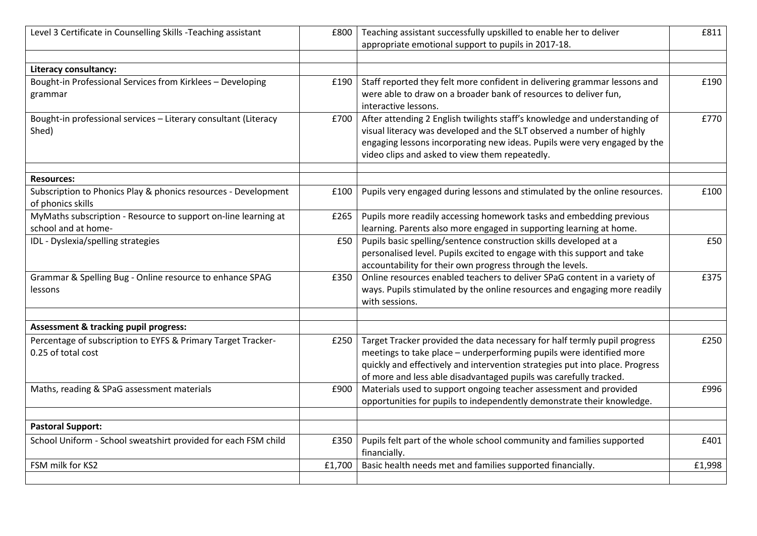| Level 3 Certificate in Counselling Skills -Teaching assistant                      | £800   | Teaching assistant successfully upskilled to enable her to deliver                                                                                   | £811   |
|------------------------------------------------------------------------------------|--------|------------------------------------------------------------------------------------------------------------------------------------------------------|--------|
|                                                                                    |        | appropriate emotional support to pupils in 2017-18.                                                                                                  |        |
|                                                                                    |        |                                                                                                                                                      |        |
| Literacy consultancy:                                                              |        |                                                                                                                                                      |        |
| Bought-in Professional Services from Kirklees - Developing                         | £190   | Staff reported they felt more confident in delivering grammar lessons and                                                                            | £190   |
| grammar                                                                            |        | were able to draw on a broader bank of resources to deliver fun,                                                                                     |        |
|                                                                                    |        | interactive lessons.                                                                                                                                 |        |
| Bought-in professional services - Literary consultant (Literacy                    | £700   | After attending 2 English twilights staff's knowledge and understanding of                                                                           | £770   |
| Shed)                                                                              |        | visual literacy was developed and the SLT observed a number of highly                                                                                |        |
|                                                                                    |        | engaging lessons incorporating new ideas. Pupils were very engaged by the                                                                            |        |
|                                                                                    |        | video clips and asked to view them repeatedly.                                                                                                       |        |
|                                                                                    |        |                                                                                                                                                      |        |
| <b>Resources:</b>                                                                  |        |                                                                                                                                                      |        |
| Subscription to Phonics Play & phonics resources - Development                     | £100   | Pupils very engaged during lessons and stimulated by the online resources.                                                                           | £100   |
| of phonics skills                                                                  |        |                                                                                                                                                      |        |
| MyMaths subscription - Resource to support on-line learning at                     | £265   | Pupils more readily accessing homework tasks and embedding previous                                                                                  |        |
| school and at home-                                                                |        | learning. Parents also more engaged in supporting learning at home.                                                                                  |        |
| IDL - Dyslexia/spelling strategies                                                 | £50    | Pupils basic spelling/sentence construction skills developed at a                                                                                    | £50    |
|                                                                                    |        | personalised level. Pupils excited to engage with this support and take                                                                              |        |
|                                                                                    |        | accountability for their own progress through the levels.                                                                                            |        |
| Grammar & Spelling Bug - Online resource to enhance SPAG                           | £350   | Online resources enabled teachers to deliver SPaG content in a variety of                                                                            | £375   |
| lessons                                                                            |        | ways. Pupils stimulated by the online resources and engaging more readily                                                                            |        |
|                                                                                    |        | with sessions.                                                                                                                                       |        |
| Assessment & tracking pupil progress:                                              |        |                                                                                                                                                      |        |
|                                                                                    |        |                                                                                                                                                      |        |
| Percentage of subscription to EYFS & Primary Target Tracker-<br>0.25 of total cost | £250   | Target Tracker provided the data necessary for half termly pupil progress                                                                            | £250   |
|                                                                                    |        | meetings to take place - underperforming pupils were identified more<br>quickly and effectively and intervention strategies put into place. Progress |        |
|                                                                                    |        | of more and less able disadvantaged pupils was carefully tracked.                                                                                    |        |
| Maths, reading & SPaG assessment materials                                         |        | Materials used to support ongoing teacher assessment and provided                                                                                    | £996   |
|                                                                                    | £900   |                                                                                                                                                      |        |
|                                                                                    |        | opportunities for pupils to independently demonstrate their knowledge.                                                                               |        |
| <b>Pastoral Support:</b>                                                           |        |                                                                                                                                                      |        |
| School Uniform - School sweatshirt provided for each FSM child                     | £350   | Pupils felt part of the whole school community and families supported                                                                                | £401   |
|                                                                                    |        | financially.                                                                                                                                         |        |
| FSM milk for KS2                                                                   | £1,700 | Basic health needs met and families supported financially.                                                                                           | £1,998 |
|                                                                                    |        |                                                                                                                                                      |        |